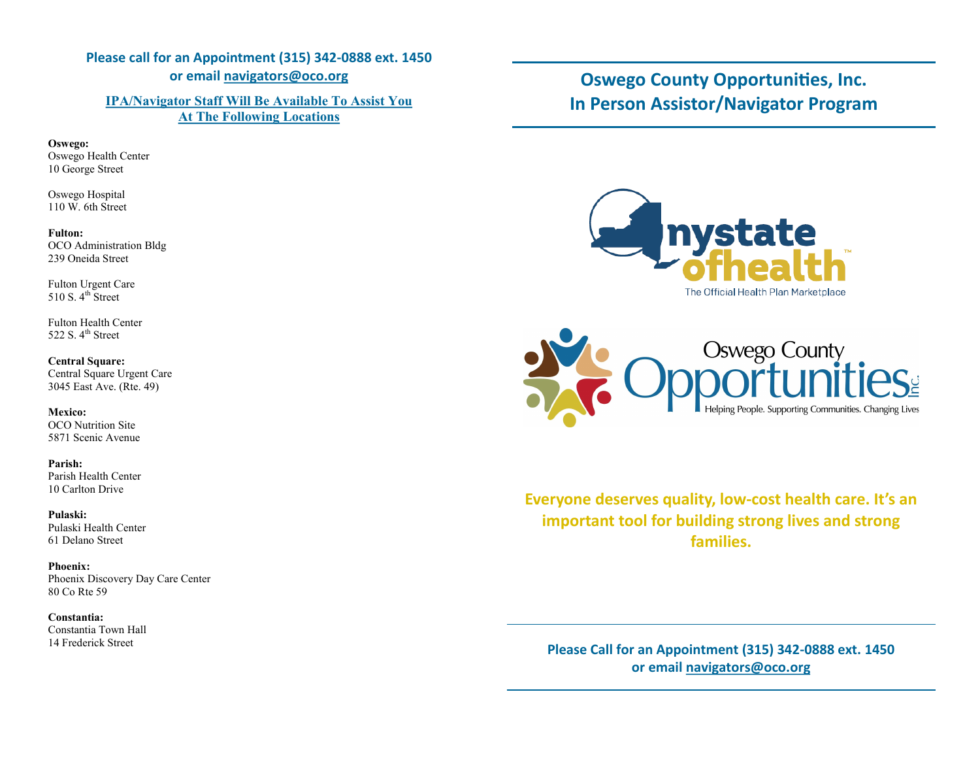## **Please call for an Appointment (315) 342-0888 ext. 1450 or email navigators@oco.org**

### **IPA/Navigator Staff Will Be Available To Assist You At The Following Locations**

#### **Oswego:**

Oswego Health Center 10 George Street

Oswego Hospital 110 W. 6th Street

#### **Fulton:**

OCO Administration Bldg 239 Oneida Street

Fulton Urgent Care 510 S.  $4^{\text{th}}$  Street

Fulton Health Center 522 S.  $4^{\text{th}}$  Street

### **Central Square:**

Central Square Urgent Care 3045 East Ave. (Rte. 49)

### **Mexico:**

OCO Nutrition Site 5871 Scenic Avenue

#### **Parish:** Parish Health Center 10 Carlton Drive

#### **Pulaski:** Pulaski Health Center 61 Delano Street

**Phoenix:** Phoenix Discovery Day Care Center 80 Co Rte 59

#### **Constantia:** Constantia Town Hall 14 Frederick Street

# **Oswego County Opportunities, Inc. In Person Assistor/Navigator Program**





**Everyone deserves quality, low-cost health care. It's an important tool for building strong lives and strong families.**

**Please Call for an Appointment (315) 342-0888 ext. 1450 or email navigators@oco.org**